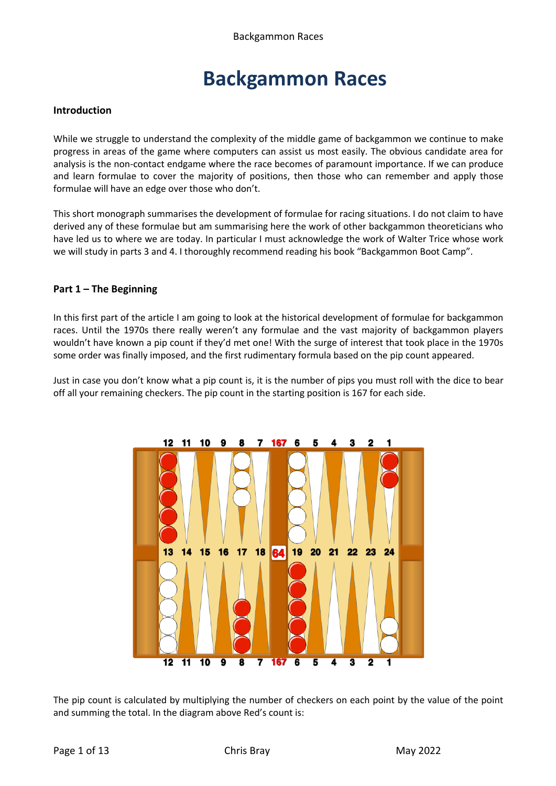#### **Introduction**

While we struggle to understand the complexity of the middle game of backgammon we continue to make progress in areas of the game where computers can assist us most easily. The obvious candidate area for analysis is the non-contact endgame where the race becomes of paramount importance. If we can produce and learn formulae to cover the majority of positions, then those who can remember and apply those formulae will have an edge over those who don't.

This short monograph summarises the development of formulae for racing situations. I do not claim to have derived any of these formulae but am summarising here the work of other backgammon theoreticians who have led us to where we are today. In particular I must acknowledge the work of Walter Trice whose work we will study in parts 3 and 4. I thoroughly recommend reading his book "Backgammon Boot Camp".

#### **Part 1 – The Beginning**

In this first part of the article I am going to look at the historical development of formulae for backgammon races. Until the 1970s there really weren't any formulae and the vast majority of backgammon players wouldn't have known a pip count if they'd met one! With the surge of interest that took place in the 1970s some order was finally imposed, and the first rudimentary formula based on the pip count appeared.

Just in case you don't know what a pip count is, it is the number of pips you must roll with the dice to bear off all your remaining checkers. The pip count in the starting position is 167 for each side.



The pip count is calculated by multiplying the number of checkers on each point by the value of the point and summing the total. In the diagram above Red's count is: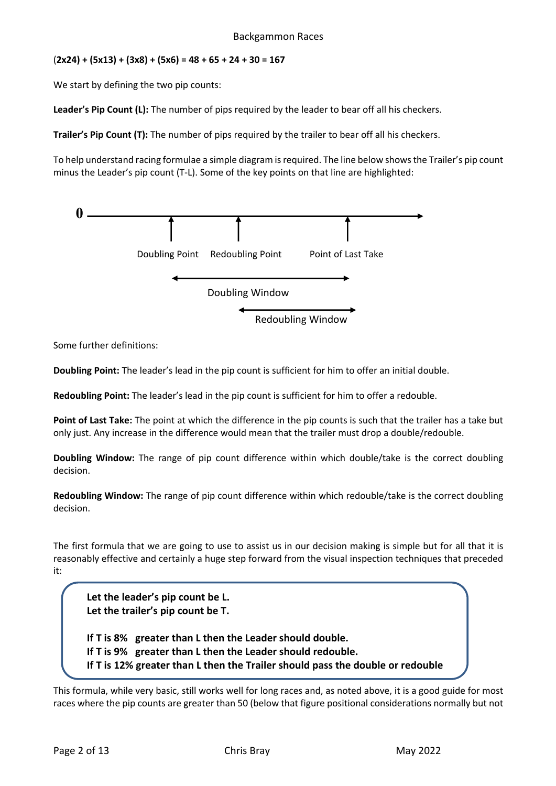#### (**2x24) + (5x13) + (3x8) + (5x6) = 48 + 65 + 24 + 30 = 167**

We start by defining the two pip counts:

Leader's Pip Count (L): The number of pips required by the leader to bear off all his checkers.

**Trailer's Pip Count (T):** The number of pips required by the trailer to bear off all his checkers.

To help understand racing formulae a simple diagram is required. The line below shows the Trailer's pip count minus the Leader's pip count (T-L). Some of the key points on that line are highlighted:



Some further definitions:

**Doubling Point:** The leader's lead in the pip count is sufficient for him to offer an initial double.

**Redoubling Point:** The leader's lead in the pip count is sufficient for him to offer a redouble.

**Point of Last Take:** The point at which the difference in the pip counts is such that the trailer has a take but only just. Any increase in the difference would mean that the trailer must drop a double/redouble.

**Doubling Window:** The range of pip count difference within which double/take is the correct doubling decision.

**Redoubling Window:** The range of pip count difference within which redouble/take is the correct doubling decision.

The first formula that we are going to use to assist us in our decision making is simple but for all that it is reasonably effective and certainly a huge step forward from the visual inspection techniques that preceded it:

**Let the leader's pip count be L. Let the trailer's pip count be T. If T is 8% greater than L then the Leader should double. If T is 9% greater than L then the Leader should redouble. If T is 12% greater than L then the Trailer should pass the double or redouble**

This formula, while very basic, still works well for long races and, as noted above, it is a good guide for most races where the pip counts are greater than 50 (below that figure positional considerations normally but not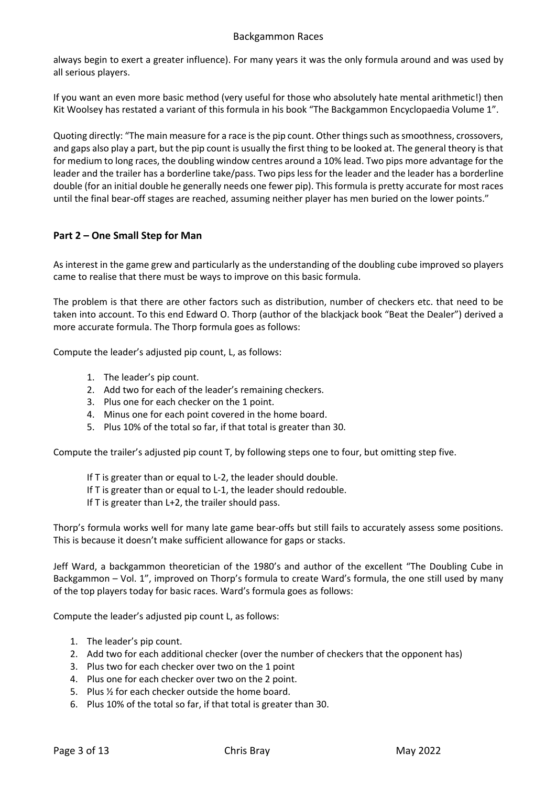always begin to exert a greater influence). For many years it was the only formula around and was used by all serious players.

If you want an even more basic method (very useful for those who absolutely hate mental arithmetic!) then Kit Woolsey has restated a variant of this formula in his book "The Backgammon Encyclopaedia Volume 1".

Quoting directly: "The main measure for a race is the pip count. Other things such as smoothness, crossovers, and gaps also play a part, but the pip count is usually the first thing to be looked at. The general theory is that for medium to long races, the doubling window centres around a 10% lead. Two pips more advantage for the leader and the trailer has a borderline take/pass. Two pips less for the leader and the leader has a borderline double (for an initial double he generally needs one fewer pip). This formula is pretty accurate for most races until the final bear-off stages are reached, assuming neither player has men buried on the lower points."

# **Part 2 – One Small Step for Man**

As interest in the game grew and particularly as the understanding of the doubling cube improved so players came to realise that there must be ways to improve on this basic formula.

The problem is that there are other factors such as distribution, number of checkers etc. that need to be taken into account. To this end Edward O. Thorp (author of the blackjack book "Beat the Dealer") derived a more accurate formula. The Thorp formula goes as follows:

Compute the leader's adjusted pip count, L, as follows:

- 1. The leader's pip count.
- 2. Add two for each of the leader's remaining checkers.
- 3. Plus one for each checker on the 1 point.
- 4. Minus one for each point covered in the home board.
- 5. Plus 10% of the total so far, if that total is greater than 30.

Compute the trailer's adjusted pip count T, by following steps one to four, but omitting step five.

- If T is greater than or equal to L-2, the leader should double.
- If T is greater than or equal to L-1, the leader should redouble.
- If T is greater than L+2, the trailer should pass.

Thorp's formula works well for many late game bear-offs but still fails to accurately assess some positions. This is because it doesn't make sufficient allowance for gaps or stacks.

Jeff Ward, a backgammon theoretician of the 1980's and author of the excellent "The Doubling Cube in Backgammon – Vol. 1", improved on Thorp's formula to create Ward's formula, the one still used by many of the top players today for basic races. Ward's formula goes as follows:

Compute the leader's adjusted pip count L, as follows:

- 1. The leader's pip count.
- 2. Add two for each additional checker (over the number of checkers that the opponent has)
- 3. Plus two for each checker over two on the 1 point
- 4. Plus one for each checker over two on the 2 point.
- 5. Plus ½ for each checker outside the home board.
- 6. Plus 10% of the total so far, if that total is greater than 30.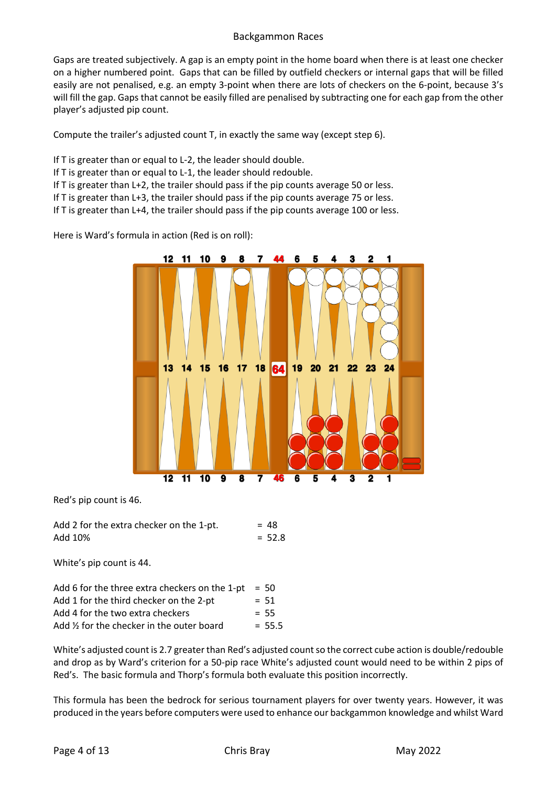Gaps are treated subjectively. A gap is an empty point in the home board when there is at least one checker on a higher numbered point. Gaps that can be filled by outfield checkers or internal gaps that will be filled easily are not penalised, e.g. an empty 3-point when there are lots of checkers on the 6-point, because 3's will fill the gap. Gaps that cannot be easily filled are penalised by subtracting one for each gap from the other player's adjusted pip count.

Compute the trailer's adjusted count T, in exactly the same way (except step 6).

- If T is greater than or equal to L-2, the leader should double.
- If T is greater than or equal to L-1, the leader should redouble.
- If T is greater than L+2, the trailer should pass if the pip counts average 50 or less.
- If T is greater than L+3, the trailer should pass if the pip counts average 75 or less.
- If T is greater than L+4, the trailer should pass if the pip counts average 100 or less.

Here is Ward's formula in action (Red is on roll):



Red's pip count is 46.

Add 2 for the extra checker on the 1-pt.  $= 48$ Add  $10\% = 52.8$ 

White's pip count is 44.

| Add 6 for the three extra checkers on the 1-pt | $= 50$   |
|------------------------------------------------|----------|
| Add 1 for the third checker on the 2-pt        | $= 51$   |
| Add 4 for the two extra checkers               | $= 55$   |
| Add 1/2 for the checker in the outer board     | $= 55.5$ |

White's adjusted count is 2.7 greater than Red's adjusted count so the correct cube action is double/redouble and drop as by Ward's criterion for a 50-pip race White's adjusted count would need to be within 2 pips of Red's. The basic formula and Thorp's formula both evaluate this position incorrectly.

This formula has been the bedrock for serious tournament players for over twenty years. However, it was produced in the years before computers were used to enhance our backgammon knowledge and whilst Ward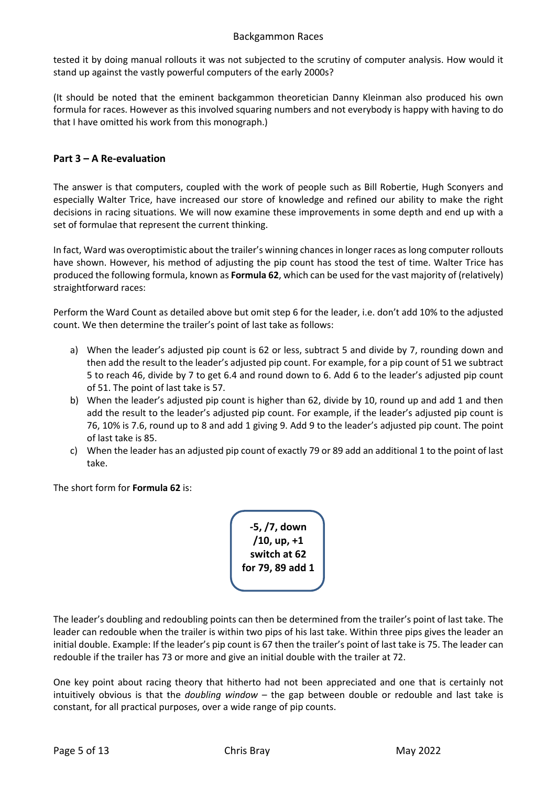tested it by doing manual rollouts it was not subjected to the scrutiny of computer analysis. How would it stand up against the vastly powerful computers of the early 2000s?

(It should be noted that the eminent backgammon theoretician Danny Kleinman also produced his own formula for races. However as this involved squaring numbers and not everybody is happy with having to do that I have omitted his work from this monograph.)

# **Part 3 – A Re-evaluation**

The answer is that computers, coupled with the work of people such as Bill Robertie, Hugh Sconyers and especially Walter Trice, have increased our store of knowledge and refined our ability to make the right decisions in racing situations. We will now examine these improvements in some depth and end up with a set of formulae that represent the current thinking.

In fact, Ward was overoptimistic about the trailer's winning chances in longer races as long computer rollouts have shown. However, his method of adjusting the pip count has stood the test of time. Walter Trice has produced the following formula, known as **Formula 62**, which can be used for the vast majority of (relatively) straightforward races:

Perform the Ward Count as detailed above but omit step 6 for the leader, i.e. don't add 10% to the adjusted count. We then determine the trailer's point of last take as follows:

- a) When the leader's adjusted pip count is 62 or less, subtract 5 and divide by 7, rounding down and then add the result to the leader's adjusted pip count. For example, for a pip count of 51 we subtract 5 to reach 46, divide by 7 to get 6.4 and round down to 6. Add 6 to the leader's adjusted pip count of 51. The point of last take is 57.
- b) When the leader's adjusted pip count is higher than 62, divide by 10, round up and add 1 and then add the result to the leader's adjusted pip count. For example, if the leader's adjusted pip count is 76, 10% is 7.6, round up to 8 and add 1 giving 9. Add 9 to the leader's adjusted pip count. The point of last take is 85.
- c) When the leader has an adjusted pip count of exactly 79 or 89 add an additional 1 to the point of last take.

The short form for **Formula 62** is:

**-5, /7, down /10, up, +1 switch at 62 for 79, 89 add 1**

The leader's doubling and redoubling points can then be determined from the trailer's point of last take. The leader can redouble when the trailer is within two pips of his last take. Within three pips gives the leader an initial double. Example: If the leader's pip count is 67 then the trailer's point of last take is 75. The leader can redouble if the trailer has 73 or more and give an initial double with the trailer at 72.

One key point about racing theory that hitherto had not been appreciated and one that is certainly not intuitively obvious is that the *doubling window* – the gap between double or redouble and last take is constant, for all practical purposes, over a wide range of pip counts.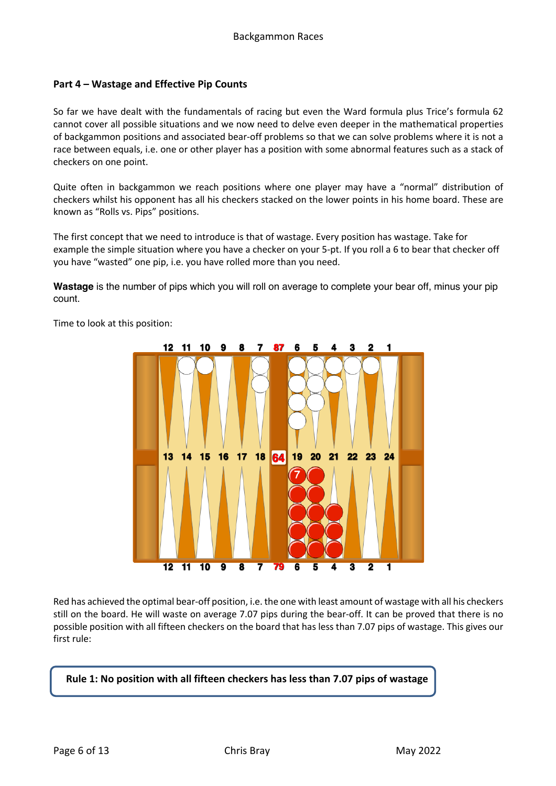## **Part 4 – Wastage and Effective Pip Counts**

So far we have dealt with the fundamentals of racing but even the Ward formula plus Trice's formula 62 cannot cover all possible situations and we now need to delve even deeper in the mathematical properties of backgammon positions and associated bear-off problems so that we can solve problems where it is not a race between equals, i.e. one or other player has a position with some abnormal features such as a stack of checkers on one point.

Quite often in backgammon we reach positions where one player may have a "normal" distribution of checkers whilst his opponent has all his checkers stacked on the lower points in his home board. These are known as "Rolls vs. Pips" positions.

The first concept that we need to introduce is that of wastage. Every position has wastage. Take for example the simple situation where you have a checker on your 5-pt. If you roll a 6 to bear that checker off you have "wasted" one pip, i.e. you have rolled more than you need.

**Wastage** is the number of pips which you will roll on average to complete your bear off, minus your pip count.



Time to look at this position:

Red has achieved the optimal bear-off position, i.e. the one with least amount of wastage with all his checkers still on the board. He will waste on average 7.07 pips during the bear-off. It can be proved that there is no possible position with all fifteen checkers on the board that has less than 7.07 pips of wastage. This gives our first rule:

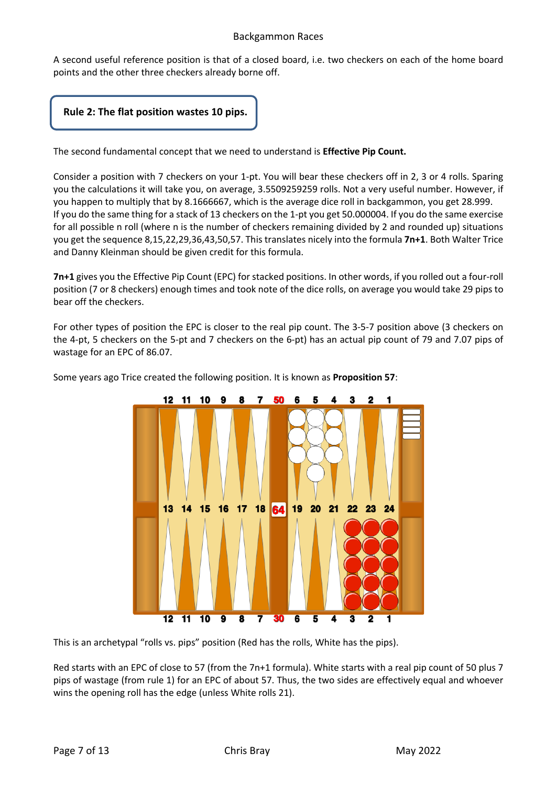A second useful reference position is that of a closed board, i.e. two checkers on each of the home board points and the other three checkers already borne off.



The second fundamental concept that we need to understand is **Effective Pip Count.**

Consider a position with 7 checkers on your 1-pt. You will bear these checkers off in 2, 3 or 4 rolls. Sparing you the calculations it will take you, on average, 3.5509259259 rolls. Not a very useful number. However, if you happen to multiply that by 8.1666667, which is the average dice roll in backgammon, you get 28.999. If you do the same thing for a stack of 13 checkers on the 1-pt you get 50.000004. If you do the same exercise for all possible n roll (where n is the number of checkers remaining divided by 2 and rounded up) situations you get the sequence 8,15,22,29,36,43,50,57. This translates nicely into the formula **7n+1**. Both Walter Trice and Danny Kleinman should be given credit for this formula.

**7n+1** gives you the Effective Pip Count (EPC) for stacked positions. In other words, if you rolled out a four-roll position (7 or 8 checkers) enough times and took note of the dice rolls, on average you would take 29 pips to bear off the checkers.

For other types of position the EPC is closer to the real pip count. The 3-5-7 position above (3 checkers on the 4-pt, 5 checkers on the 5-pt and 7 checkers on the 6-pt) has an actual pip count of 79 and 7.07 pips of wastage for an EPC of 86.07.



Some years ago Trice created the following position. It is known as **Proposition 57**:

This is an archetypal "rolls vs. pips" position (Red has the rolls, White has the pips).

Red starts with an EPC of close to 57 (from the 7n+1 formula). White starts with a real pip count of 50 plus 7 pips of wastage (from rule 1) for an EPC of about 57. Thus, the two sides are effectively equal and whoever wins the opening roll has the edge (unless White rolls 21).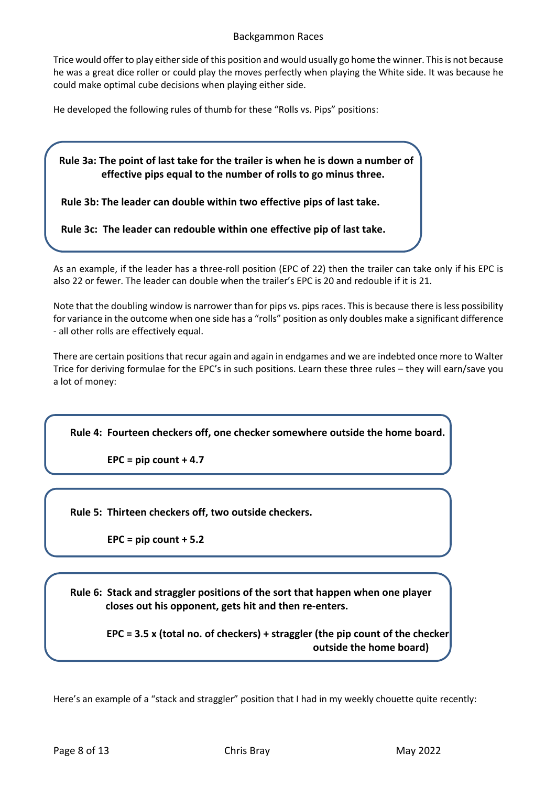Trice would offer to play either side of this position and would usually go home the winner. This is not because he was a great dice roller or could play the moves perfectly when playing the White side. It was because he could make optimal cube decisions when playing either side.

He developed the following rules of thumb for these "Rolls vs. Pips" positions:

 **Rule 3a: The point of last take for the trailer is when he is down a number of effective pips equal to the number of rolls to go minus three.**

 **Rule 3b: The leader can double within two effective pips of last take.**

 **Rule 3c: The leader can redouble within one effective pip of last take.**

As an example, if the leader has a three-roll position (EPC of 22) then the trailer can take only if his EPC is also 22 or fewer. The leader can double when the trailer's EPC is 20 and redouble if it is 21.

Note that the doubling window is narrower than for pips vs. pips races. This is because there is less possibility for variance in the outcome when one side has a "rolls" position as only doubles make a significant difference - all other rolls are effectively equal.

There are certain positions that recur again and again in endgames and we are indebted once more to Walter Trice for deriving formulae for the EPC's in such positions. Learn these three rules – they will earn/save you a lot of money:

**Rule 4: Fourteen checkers off, one checker somewhere outside the home board.** 

 **EPC = pip count + 4.7**

**Rule 5: Thirteen checkers off, two outside checkers.**

 **EPC = pip count + 5.2**

**Rule 6: Stack and straggler positions of the sort that happen when one player closes out his opponent, gets hit and then re-enters.**

> **EPC = 3.5 x (total no. of checkers) + straggler (the pip count of the checker outside the home board)**

Here's an example of a "stack and straggler" position that I had in my weekly chouette quite recently: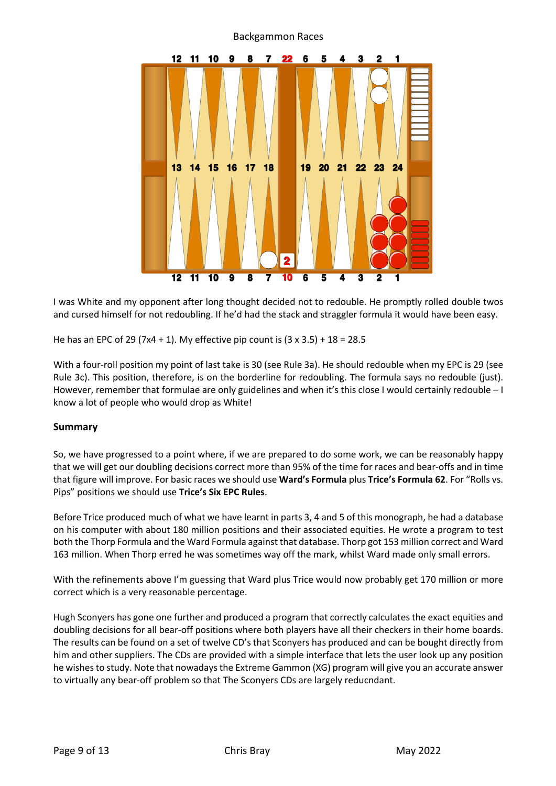

I was White and my opponent after long thought decided not to redouble. He promptly rolled double twos and cursed himself for not redoubling. If he'd had the stack and straggler formula it would have been easy.

He has an EPC of 29 (7x4 + 1). My effective pip count is  $(3 \times 3.5) + 18 = 28.5$ 

With a four-roll position my point of last take is 30 (see Rule 3a). He should redouble when my EPC is 29 (see Rule 3c). This position, therefore, is on the borderline for redoubling. The formula says no redouble (just). However, remember that formulae are only guidelines and when it's this close I would certainly redouble – I know a lot of people who would drop as White!

## **Summary**

So, we have progressed to a point where, if we are prepared to do some work, we can be reasonably happy that we will get our doubling decisions correct more than 95% of the time for races and bear-offs and in time that figure will improve. For basic races we should use **Ward's Formula** plus **Trice's Formula 62**. For "Rolls vs. Pips" positions we should use **Trice's Six EPC Rules**.

Before Trice produced much of what we have learnt in parts 3, 4 and 5 of this monograph, he had a database on his computer with about 180 million positions and their associated equities. He wrote a program to test both the Thorp Formula and the Ward Formula against that database. Thorp got 153 million correct and Ward 163 million. When Thorp erred he was sometimes way off the mark, whilst Ward made only small errors.

With the refinements above I'm guessing that Ward plus Trice would now probably get 170 million or more correct which is a very reasonable percentage.

Hugh Sconyers has gone one further and produced a program that correctly calculates the exact equities and doubling decisions for all bear-off positions where both players have all their checkers in their home boards. The results can be found on a set of twelve CD's that Sconyers has produced and can be bought directly from him and other suppliers. The CDs are provided with a simple interface that lets the user look up any position he wishes to study. Note that nowadays the Extreme Gammon (XG) program will give you an accurate answer to virtually any bear-off problem so that The Sconyers CDs are largely reducndant.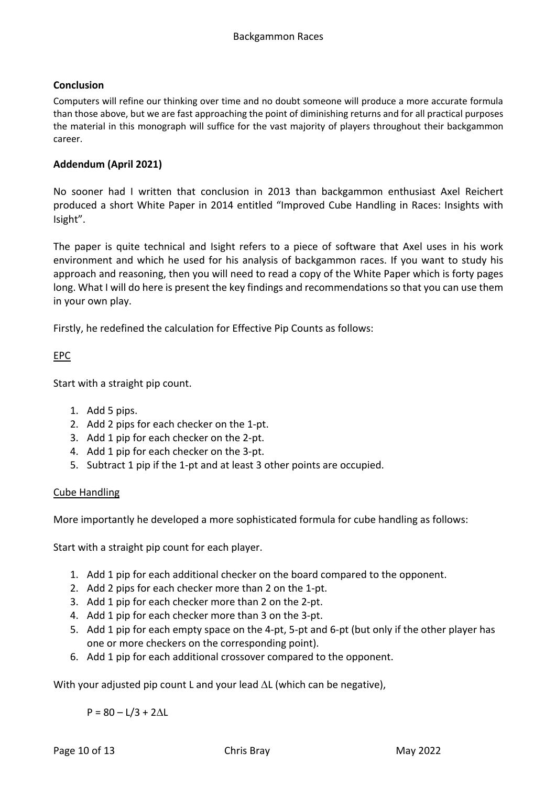# **Conclusion**

Computers will refine our thinking over time and no doubt someone will produce a more accurate formula than those above, but we are fast approaching the point of diminishing returns and for all practical purposes the material in this monograph will suffice for the vast majority of players throughout their backgammon career.

# **Addendum (April 2021)**

No sooner had I written that conclusion in 2013 than backgammon enthusiast Axel Reichert produced a short White Paper in 2014 entitled "Improved Cube Handling in Races: Insights with Isight".

The paper is quite technical and Isight refers to a piece of software that Axel uses in his work environment and which he used for his analysis of backgammon races. If you want to study his approach and reasoning, then you will need to read a copy of the White Paper which is forty pages long. What I will do here is present the key findings and recommendations so that you can use them in your own play.

Firstly, he redefined the calculation for Effective Pip Counts as follows:

# EPC

Start with a straight pip count.

- 1. Add 5 pips.
- 2. Add 2 pips for each checker on the 1-pt.
- 3. Add 1 pip for each checker on the 2-pt.
- 4. Add 1 pip for each checker on the 3-pt.
- 5. Subtract 1 pip if the 1-pt and at least 3 other points are occupied.

## Cube Handling

More importantly he developed a more sophisticated formula for cube handling as follows:

Start with a straight pip count for each player.

- 1. Add 1 pip for each additional checker on the board compared to the opponent.
- 2. Add 2 pips for each checker more than 2 on the 1-pt.
- 3. Add 1 pip for each checker more than 2 on the 2-pt.
- 4. Add 1 pip for each checker more than 3 on the 3-pt.
- 5. Add 1 pip for each empty space on the 4-pt, 5-pt and 6-pt (but only if the other player has one or more checkers on the corresponding point).
- 6. Add 1 pip for each additional crossover compared to the opponent.

With your adjusted pip count L and your lead  $\Delta L$  (which can be negative),

 $P = 80 - L/3 + 2\Lambda L$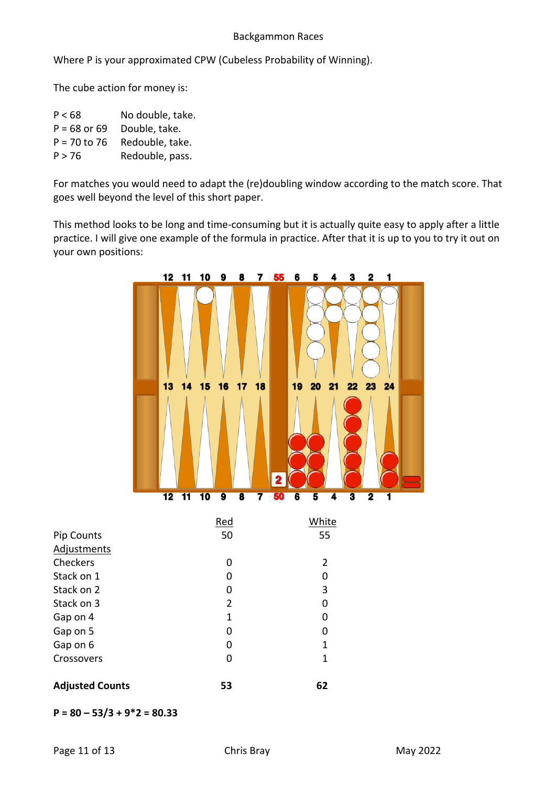Where P is your approximated CPW (Cubeless Probability of Winning).

The cube action for money is:

| No double, take. |
|------------------|
| Double, take.    |
| Redouble, take.  |
| Redouble, pass.  |
|                  |

For matches you would need to adapt the (re)doubling window according to the match score. That goes well beyond the level of this short paper.

This method looks to be long and time-consuming but it is actually quite easy to apply after a little practice. I will give one example of the formula in practice. After that it is up to you to try it out on your own positions:



|                        | Red | White          |
|------------------------|-----|----------------|
| Pip Counts             | 50  | 55             |
| Adjustments            |     |                |
| Checkers               | ი   | $\overline{2}$ |
| Stack on 1             | ი   | O              |
| Stack on 2             | O   | 3              |
| Stack on 3             | 2   | O              |
| Gap on 4               | 1   | O              |
| Gap on 5               | 0   | O              |
| Gap on 6               | ი   | 1              |
| Crossovers             | O   | 1              |
|                        |     |                |
| <b>Adjusted Counts</b> | 53  | 62             |

**P = 80 – 53/3 + 9\*2 = 80.33**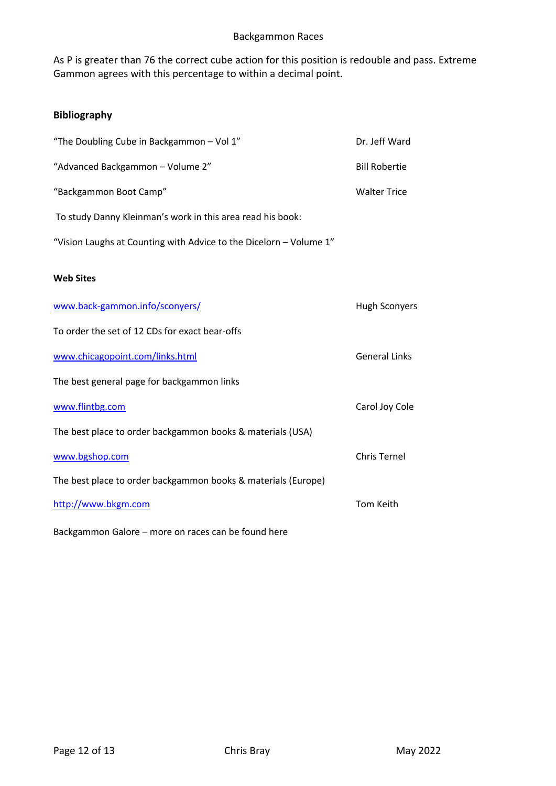As P is greater than 76 the correct cube action for this position is redouble and pass. Extreme Gammon agrees with this percentage to within a decimal point.

# **Bibliography**

| "The Doubling Cube in Backgammon - Vol 1"                          | Dr. Jeff Ward        |
|--------------------------------------------------------------------|----------------------|
| "Advanced Backgammon - Volume 2"                                   | <b>Bill Robertie</b> |
| "Backgammon Boot Camp"                                             | <b>Walter Trice</b>  |
| To study Danny Kleinman's work in this area read his book:         |                      |
| "Vision Laughs at Counting with Advice to the Dicelorn - Volume 1" |                      |
| <b>Web Sites</b>                                                   |                      |
| www.back-gammon.info/sconyers/                                     | <b>Hugh Sconyers</b> |
| To order the set of 12 CDs for exact bear-offs                     |                      |
| www.chicagopoint.com/links.html                                    | <b>General Links</b> |
| The best general page for backgammon links                         |                      |
| www.flintbg.com                                                    | Carol Joy Cole       |
| The best place to order backgammon books & materials (USA)         |                      |
| www.bgshop.com                                                     | <b>Chris Ternel</b>  |
| The best place to order backgammon books & materials (Europe)      |                      |
| http://www.bkgm.com                                                | <b>Tom Keith</b>     |
| Backgammon Galore - more on races can be found here                |                      |